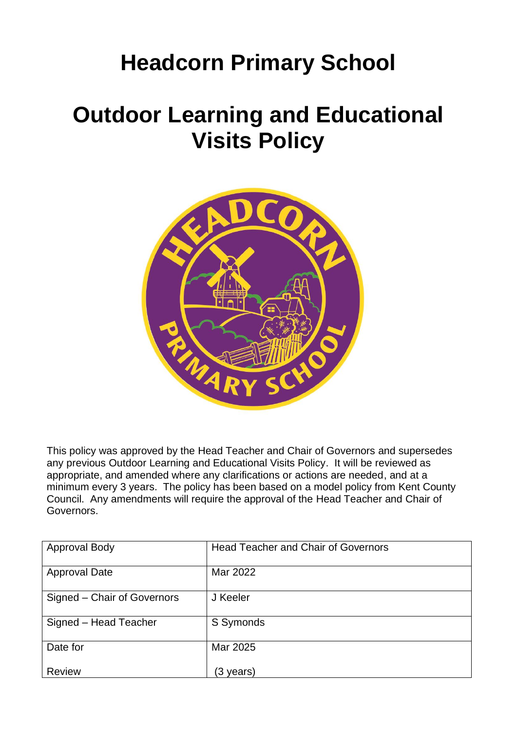## **Headcorn Primary School**

## **Outdoor Learning and Educational Visits Policy**



This policy was approved by the Head Teacher and Chair of Governors and supersedes any previous Outdoor Learning and Educational Visits Policy. It will be reviewed as appropriate, and amended where any clarifications or actions are needed, and at a minimum every 3 years. The policy has been based on a model policy from Kent County Council. Any amendments will require the approval of the Head Teacher and Chair of Governors.

| <b>Approval Body</b>        | <b>Head Teacher and Chair of Governors</b> |
|-----------------------------|--------------------------------------------|
| <b>Approval Date</b>        | Mar 2022                                   |
| Signed – Chair of Governors | J Keeler                                   |
| Signed - Head Teacher       | S Symonds                                  |
| Date for                    | Mar 2025                                   |
| <b>Review</b>               | (3 years)                                  |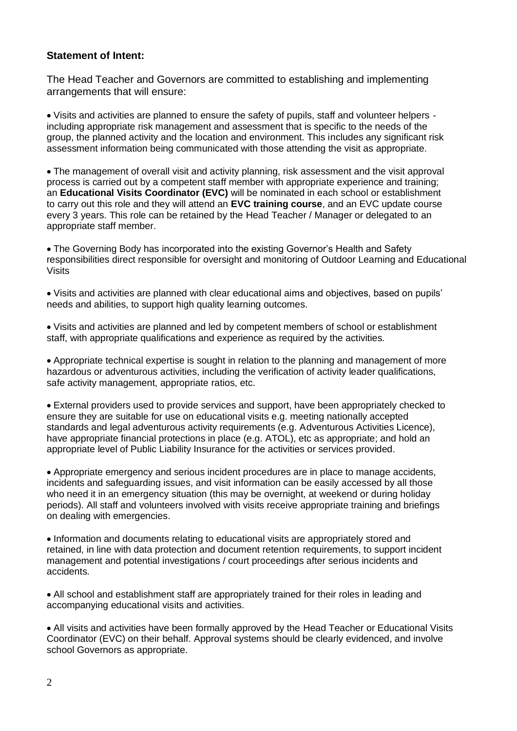## **Statement of Intent:**

The Head Teacher and Governors are committed to establishing and implementing arrangements that will ensure:

• Visits and activities are planned to ensure the safety of pupils, staff and volunteer helpers including appropriate risk management and assessment that is specific to the needs of the group, the planned activity and the location and environment. This includes any significant risk assessment information being communicated with those attending the visit as appropriate.

• The management of overall visit and activity planning, risk assessment and the visit approval process is carried out by a competent staff member with appropriate experience and training; an **Educational Visits Coordinator (EVC)** will be nominated in each school or establishment to carry out this role and they will attend an **EVC training course**, and an EVC update course every 3 years. This role can be retained by the Head Teacher / Manager or delegated to an appropriate staff member.

• The Governing Body has incorporated into the existing Governor's Health and Safety responsibilities direct responsible for oversight and monitoring of Outdoor Learning and Educational Visits

• Visits and activities are planned with clear educational aims and objectives, based on pupils' needs and abilities, to support high quality learning outcomes.

• Visits and activities are planned and led by competent members of school or establishment staff, with appropriate qualifications and experience as required by the activities.

• Appropriate technical expertise is sought in relation to the planning and management of more hazardous or adventurous activities, including the verification of activity leader qualifications, safe activity management, appropriate ratios, etc.

• External providers used to provide services and support, have been appropriately checked to ensure they are suitable for use on educational visits e.g. meeting nationally accepted standards and legal adventurous activity requirements (e.g. Adventurous Activities Licence), have appropriate financial protections in place (e.g. ATOL), etc as appropriate; and hold an appropriate level of Public Liability Insurance for the activities or services provided.

• Appropriate emergency and serious incident procedures are in place to manage accidents, incidents and safeguarding issues, and visit information can be easily accessed by all those who need it in an emergency situation (this may be overnight, at weekend or during holiday periods). All staff and volunteers involved with visits receive appropriate training and briefings on dealing with emergencies.

• Information and documents relating to educational visits are appropriately stored and retained, in line with data protection and document retention requirements, to support incident management and potential investigations / court proceedings after serious incidents and accidents.

• All school and establishment staff are appropriately trained for their roles in leading and accompanying educational visits and activities.

• All visits and activities have been formally approved by the Head Teacher or Educational Visits Coordinator (EVC) on their behalf. Approval systems should be clearly evidenced, and involve school Governors as appropriate.